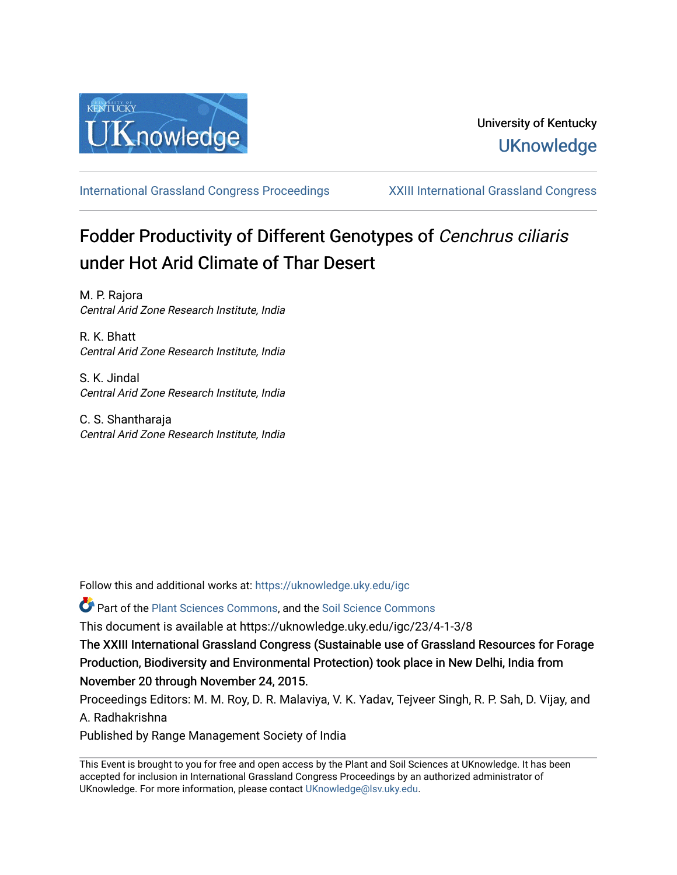

[International Grassland Congress Proceedings](https://uknowledge.uky.edu/igc) [XXIII International Grassland Congress](https://uknowledge.uky.edu/igc/23) 

# Fodder Productivity of Different Genotypes of Cenchrus ciliaris under Hot Arid Climate of Thar Desert

M. P. Rajora Central Arid Zone Research Institute, India

R. K. Bhatt Central Arid Zone Research Institute, India

S. K. Jindal Central Arid Zone Research Institute, India

C. S. Shantharaja Central Arid Zone Research Institute, India

Follow this and additional works at: [https://uknowledge.uky.edu/igc](https://uknowledge.uky.edu/igc?utm_source=uknowledge.uky.edu%2Figc%2F23%2F4-1-3%2F8&utm_medium=PDF&utm_campaign=PDFCoverPages) 

Part of the [Plant Sciences Commons](http://network.bepress.com/hgg/discipline/102?utm_source=uknowledge.uky.edu%2Figc%2F23%2F4-1-3%2F8&utm_medium=PDF&utm_campaign=PDFCoverPages), and the [Soil Science Commons](http://network.bepress.com/hgg/discipline/163?utm_source=uknowledge.uky.edu%2Figc%2F23%2F4-1-3%2F8&utm_medium=PDF&utm_campaign=PDFCoverPages) 

This document is available at https://uknowledge.uky.edu/igc/23/4-1-3/8

The XXIII International Grassland Congress (Sustainable use of Grassland Resources for Forage Production, Biodiversity and Environmental Protection) took place in New Delhi, India from November 20 through November 24, 2015.

Proceedings Editors: M. M. Roy, D. R. Malaviya, V. K. Yadav, Tejveer Singh, R. P. Sah, D. Vijay, and A. Radhakrishna

Published by Range Management Society of India

This Event is brought to you for free and open access by the Plant and Soil Sciences at UKnowledge. It has been accepted for inclusion in International Grassland Congress Proceedings by an authorized administrator of UKnowledge. For more information, please contact [UKnowledge@lsv.uky.edu](mailto:UKnowledge@lsv.uky.edu).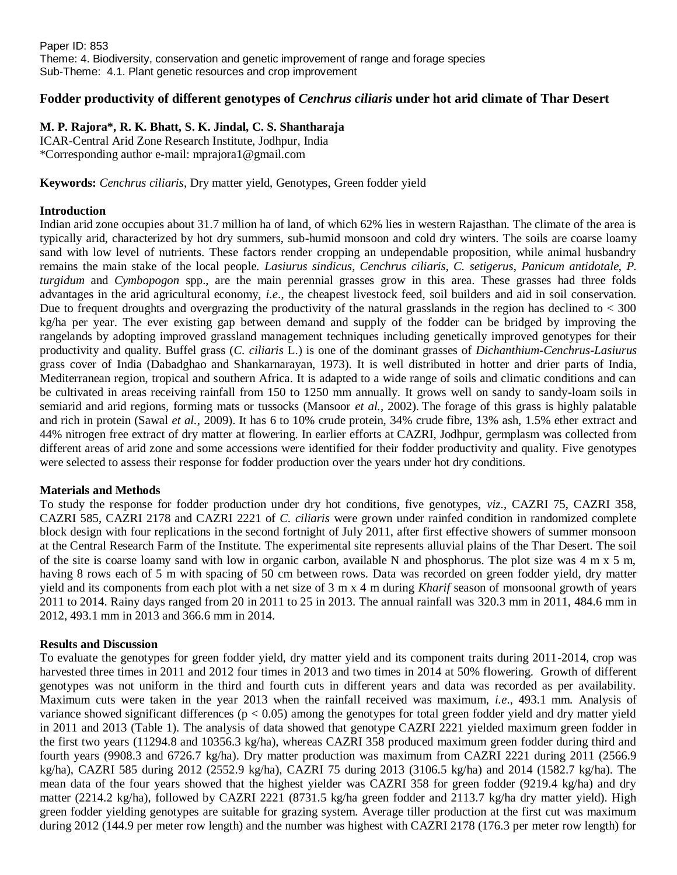## **Fodder productivity of different genotypes of** *Cenchrus ciliaris* **under hot arid climate of Thar Desert**

**M. P. Rajora\*, R. K. Bhatt, S. K. Jindal, C. S. Shantharaja**

ICAR-Central Arid Zone Research Institute, Jodhpur, India \*Corresponding author e-mail: mprajora1@gmail.com

**Keywords:** *Cenchrus ciliaris*, Dry matter yield, Genotypes, Green fodder yield

### **Introduction**

Indian arid zone occupies about 31.7 million ha of land, of which 62% lies in western Rajasthan. The climate of the area is typically arid, characterized by hot dry summers, sub-humid monsoon and cold dry winters. The soils are coarse loamy sand with low level of nutrients. These factors render cropping an undependable proposition, while animal husbandry remains the main stake of the local people. *Lasiurus sindicus*, *Cenchrus ciliaris*, *C. setigerus*, *Panicum antidotale*, *P. turgidum* and *Cymbopogon* spp., are the main perennial grasses grow in this area. These grasses had three folds advantages in the arid agricultural economy, *i.e*., the cheapest livestock feed, soil builders and aid in soil conservation. Due to frequent droughts and overgrazing the productivity of the natural grasslands in the region has declined to  $<$  300 kg/ha per year. The ever existing gap between demand and supply of the fodder can be bridged by improving the rangelands by adopting improved grassland management techniques including genetically improved genotypes for their productivity and quality. Buffel grass (*C. ciliaris* L.) is one of the dominant grasses of *Dichanthium-Cenchrus-Lasiurus* grass cover of India (Dabadghao and Shankarnarayan, 1973). It is well distributed in hotter and drier parts of India, Mediterranean region, tropical and southern Africa. It is adapted to a wide range of soils and climatic conditions and can be cultivated in areas receiving rainfall from 150 to 1250 mm annually. It grows well on sandy to sandy-loam soils in semiarid and arid regions, forming mats or tussocks (Mansoor *et al.*, 2002). The forage of this grass is highly palatable and rich in protein (Sawal *et al.*, 2009). It has 6 to 10% crude protein, 34% crude fibre, 13% ash, 1.5% ether extract and 44% nitrogen free extract of dry matter at flowering. In earlier efforts at CAZRI, Jodhpur, germplasm was collected from different areas of arid zone and some accessions were identified for their fodder productivity and quality. Five genotypes were selected to assess their response for fodder production over the years under hot dry conditions.

### **Materials and Methods**

To study the response for fodder production under dry hot conditions, five genotypes, *viz*., CAZRI 75, CAZRI 358, CAZRI 585, CAZRI 2178 and CAZRI 2221 of *C. ciliaris* were grown under rainfed condition in randomized complete block design with four replications in the second fortnight of July 2011, after first effective showers of summer monsoon at the Central Research Farm of the Institute. The experimental site represents alluvial plains of the Thar Desert. The soil of the site is coarse loamy sand with low in organic carbon, available N and phosphorus. The plot size was 4 m x 5 m, having 8 rows each of 5 m with spacing of 50 cm between rows. Data was recorded on green fodder yield, dry matter yield and its components from each plot with a net size of 3 m x 4 m during *Kharif* season of monsoonal growth of years 2011 to 2014. Rainy days ranged from 20 in 2011 to 25 in 2013. The annual rainfall was 320.3 mm in 2011, 484.6 mm in 2012, 493.1 mm in 2013 and 366.6 mm in 2014.

### **Results and Discussion**

To evaluate the genotypes for green fodder yield, dry matter yield and its component traits during 2011-2014, crop was harvested three times in 2011 and 2012 four times in 2013 and two times in 2014 at 50% flowering. Growth of different genotypes was not uniform in the third and fourth cuts in different years and data was recorded as per availability. Maximum cuts were taken in the year 2013 when the rainfall received was maximum, *i.e*., 493.1 mm. Analysis of variance showed significant differences ( $p < 0.05$ ) among the genotypes for total green fodder yield and dry matter yield in 2011 and 2013 (Table 1). The analysis of data showed that genotype CAZRI 2221 yielded maximum green fodder in the first two years (11294.8 and 10356.3 kg/ha), whereas CAZRI 358 produced maximum green fodder during third and fourth years (9908.3 and 6726.7 kg/ha). Dry matter production was maximum from CAZRI 2221 during 2011 (2566.9 kg/ha), CAZRI 585 during 2012 (2552.9 kg/ha), CAZRI 75 during 2013 (3106.5 kg/ha) and 2014 (1582.7 kg/ha). The mean data of the four years showed that the highest yielder was CAZRI 358 for green fodder (9219.4 kg/ha) and dry matter (2214.2 kg/ha), followed by CAZRI 2221 (8731.5 kg/ha green fodder and 2113.7 kg/ha dry matter yield). High green fodder yielding genotypes are suitable for grazing system. Average tiller production at the first cut was maximum during 2012 (144.9 per meter row length) and the number was highest with CAZRI 2178 (176.3 per meter row length) for